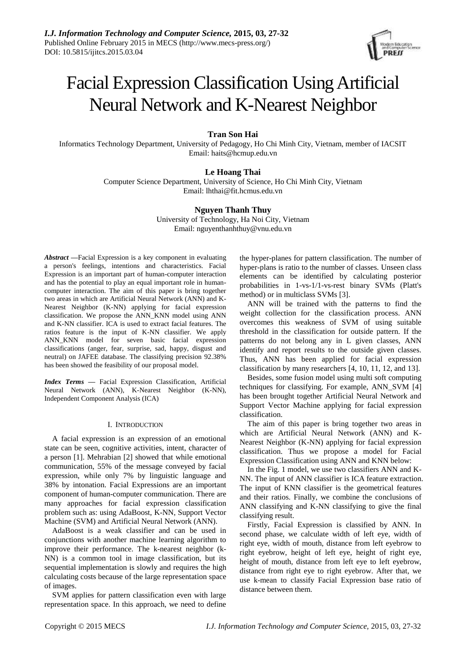

# Facial Expression Classification UsingArtificial Neural Network and K-Nearest Neighbor

## **Tran Son Hai**

Informatics Technology Department, University of Pedagogy, Ho Chi Minh City, Vietnam, member of IACSIT Email: haits@hcmup.edu.vn

## **Le Hoang Thai**

Computer Science Department, University of Science, Ho Chi Minh City, Vietnam Email: lhthai@fit.hcmus.edu.vn

## **Nguyen Thanh Thuy**

University of Technology, Ha Noi City, Vietnam Email: nguyenthanhthuy@vnu.edu.vn

*Abstract* **—**Facial Expression is a key component in evaluating a person's feelings, intentions and characteristics. Facial Expression is an important part of human-computer interaction and has the potential to play an equal important role in humancomputer interaction. The aim of this paper is bring together two areas in which are Artificial Neural Network (ANN) and K-Nearest Neighbor (K-NN) applying for facial expression classification. We propose the ANN\_KNN model using ANN and K-NN classifier. ICA is used to extract facial features. The ratios feature is the input of K-NN classifier. We apply ANN\_KNN model for seven basic facial expression classifications (anger, fear, surprise, sad, happy, disgust and neutral) on JAFEE database. The classifying precision 92.38% has been showed the feasibility of our proposal model.

*Index Terms* **—** Facial Expression Classification, Artificial Neural Network (ANN), K-Nearest Neighbor (K-NN), Independent Component Analysis (ICA)

## I. INTRODUCTION

A facial expression is an expression of an emotional state can be seen, cognitive activities, intent, character of a person [1]. Mehrabian [2] showed that while emotional communication, 55% of the message conveyed by facial expression, while only 7% by linguistic language and 38% by intonation. Facial Expressions are an important component of human-computer communication. There are many approaches for facial expression classification problem such as: using AdaBoost, K-NN, Support Vector Machine (SVM) and Artificial Neural Network (ANN).

AdaBoost is a weak classifier and can be used in conjunctions with another machine learning algorithm to improve their performance. The k-nearest neighbor (k-NN) is a common tool in image classification, but its sequential implementation is slowly and requires the high calculating costs because of the large representation space of images.

SVM applies for pattern classification even with large representation space. In this approach, we need to define the hyper-planes for pattern classification. The number of hyper-plans is ratio to the number of classes. Unseen class elements can be identified by calculating posterior probabilities in 1-vs-1/1-vs-rest binary SVMs (Platt's method) or in multiclass SVMs [3].

ANN will be trained with the patterns to find the weight collection for the classification process. ANN overcomes this weakness of SVM of using suitable threshold in the classification for outside pattern. If the patterns do not belong any in L given classes, ANN identify and report results to the outside given classes. Thus, ANN has been applied for facial expression classification by many researchers [4, 10, 11, 12, and 13].

Besides, some fusion model using multi soft computing techniques for classifying. For example, ANN\_SVM [4] has been brought together Artificial Neural Network and Support Vector Machine applying for facial expression classification.

The aim of this paper is bring together two areas in which are Artificial Neural Network (ANN) and K-Nearest Neighbor (K-NN) applying for facial expression classification. Thus we propose a model for Facial Expression Classification using ANN and KNN below:

In the Fig. 1 model, we use two classifiers ANN and K-NN. The input of ANN classifier is ICA feature extraction. The input of KNN classifier is the geometrical features and their ratios. Finally, we combine the conclusions of ANN classifying and K-NN classifying to give the final classifying result.

Firstly, Facial Expression is classified by ANN. In second phase, we calculate width of left eye, width of right eye, width of mouth, distance from left eyebrow to right eyebrow, height of left eye, height of right eye, height of mouth, distance from left eye to left eyebrow, distance from right eye to right eyebrow. After that, we use k-mean to classify Facial Expression base ratio of distance between them.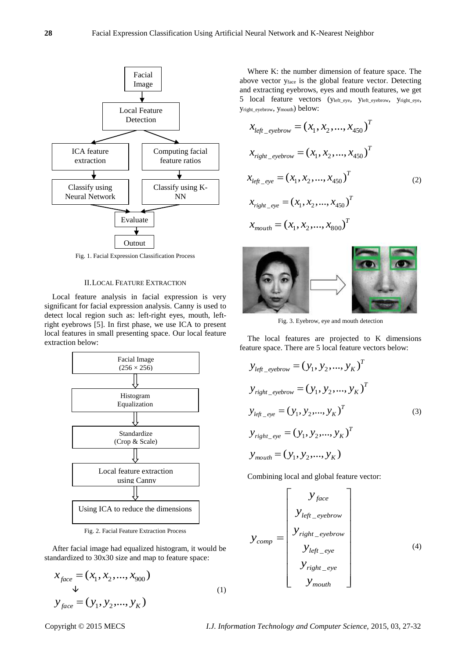

Fig. 1. Facial Expression Classification Process

#### II.LOCAL FEATURE EXTRACTION

Local feature analysis in facial expression is very significant for facial expression analysis. Canny is used to detect local region such as: left-right eyes, mouth, leftright eyebrows [5]. In first phase, we use ICA to present local features in small presenting space. Our local feature extraction below:



Fig. 2. Facial Feature Extraction Process

After facial image had equalized histogram, it would be standardized to 30x30 size and map to feature space:

$$
x_{face} = (x_1, x_2, ..., x_{900})
$$
  
\n
$$
y_{face} = (y_1, y_2, ..., y_K)
$$
 (1)

Where K: the number dimension of feature space. The above vector yface is the global feature vector. Detecting and extracting eyebrows, eyes and mouth features, we get 5 local feature vectors (yleft\_eye, yleft\_eyebrow, yright\_eye, yright\_eyebrow, ymouth) below:

$$
x_{left\_eyebrow} = (x_1, x_2, ..., x_{450})^T
$$
  
\n
$$
x_{right\_eyebrow} = (x_1, x_2, ..., x_{450})^T
$$
  
\n
$$
x_{left\_eye} = (x_1, x_2, ..., x_{450})^T
$$
  
\n
$$
x_{right\_eye} = (x_1, x_2, ..., x_{450})^T
$$
  
\n
$$
x_{mouth} = (x_1, x_2, ..., x_{800})^T
$$
 (2)



Fig. 3. Eyebrow, eye and mouth detection

The local features are projected to K dimensions feature space. There are 5 local feature vectors below:

$$
y_{left\_eyebrow} = (y_1, y_2, ..., y_K)^T
$$
  
\n
$$
y_{right\_eyebrow} = (y_1, y_2, ..., y_K)^T
$$
  
\n
$$
y_{left\_eye} = (y_1, y_2, ..., y_K)^T
$$
  
\n
$$
y_{right\_eye} = (y_1, y_2, ..., y_K)^T
$$
  
\n
$$
y_{mouth} = (y_1, y_2, ..., y_K)
$$
 (3)

Combining local and global feature vector:

$$
y_{comp} = \begin{bmatrix} y_{face} \\ y_{left\_eyebrow} \\ y_{right\_eyebrow} \\ y_{left\_eye} \\ y_{left\_eye} \\ y_{right\_eye} \\ y_{right\_eye} \\ y_{mouth} \end{bmatrix}
$$
 (4)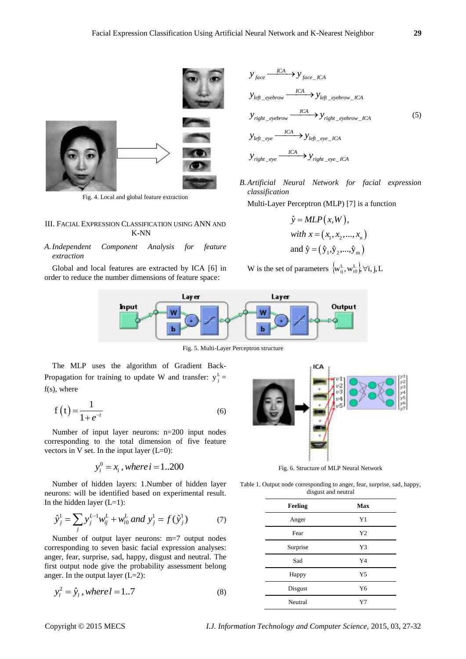

Fig. 4. Local and global feature extraction

#### III. FACIAL EXPRESSION CLASSIFICATION USING ANN AND K-NN

*A.Independent Component Analysis for feature extraction*

Global and local features are extracted by ICA [6] in order to reduce the number dimensions of feature space:

$$
y_{face} \xrightarrow{ICA} y_{face\_ICA}
$$
\n
$$
y_{left\_evebrown} \xrightarrow{ICA} y_{left\_evebrown\_ICA}
$$
\n
$$
y_{right\_evebrown} \xrightarrow{ICA} y_{right\_evebrown\_ICA}
$$
\n
$$
y_{left\_eye} \xrightarrow{ICA} y_{left\_eve\_ICA}
$$
\n
$$
y_{right\_eve} \xrightarrow{ICA} y_{right\_eve\_ICA}
$$
\n
$$
y_{right\_eve} \xrightarrow{ICA} y_{right\_eve\_ICA}
$$

*B.Artificial Neural Network for facial expression classification*

Multi-Layer Perceptron (MLP) [7] is a function

$$
\hat{y} = MLP(x, W),
$$
  
with  $x = (x_1, x_2, ..., x_n)$   
and  $\hat{y} = (\hat{y}_1, \hat{y}_2, ..., \hat{y}_m)$ 

W is the set of parameters  $\{w_{ij}^L, w_{i0}^L\}\forall i, j, L$ 



Fig. 5. Multi-Layer Perceptron structure

The MLP uses the algorithm of Gradient Back-Propagation for training to update W and transfer:  $y_j^L =$ f(s), where

$$
f(t) = \frac{1}{1 + e^{-t}}\tag{6}
$$

Number of input layer neurons: n=200 input nodes corresponding to the total dimension of five feature vectors in V set. In the input layer  $(L=0)$ :

$$
y_i^0 = x_i
$$
, where  $i = 1..200$ 

Number of hidden layers: 1.Number of hidden layer neurons: will be identified based on experimental result. In the hidden layer  $(L=1)$ :

the hidden layer (L=1).  
\n
$$
\hat{y}_j^1 = \sum_j y_j^{L-1} w_{ij}^L + w_{i0}^L \text{ and } y_j^1 = f(\hat{y}_j^1) \tag{7}
$$

Number of output layer neurons: m=7 output nodes corresponding to seven basic facial expression analyses: anger, fear, surprise, sad, happy, disgust and neutral. The first output node give the probability assessment belong anger. In the output layer  $(L=2)$ :

$$
y_l^2 = \hat{y}_l, where l = 1..7
$$
 (8)



Fig. 6. Structure of MLP Neural Network

Table 1. Output node corresponding to anger, fear, surprise, sad, happy, disgust and neutral

| Feeling  | Max            |
|----------|----------------|
| Anger    | Y <sub>1</sub> |
| Fear     | Y2             |
| Surprise | Y3             |
| Sad      | Y4             |
| Happy    | Y <sub>5</sub> |
| Disgust  | Y <sub>6</sub> |
| Neutral  | Y7             |

Copyright © 2015 MECS *I.J. Information Technology and Computer Science,* 2015, 03, 27-32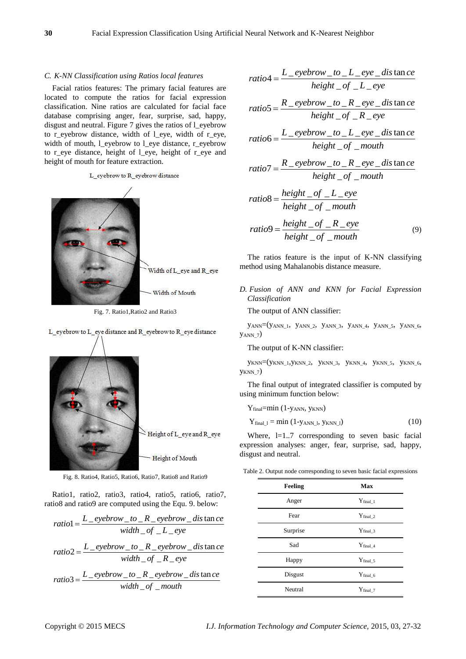#### *C. K-NN Classification using Ratios local features*

Facial ratios features: The primary facial features are located to compute the ratios for facial expression classification. Nine ratios are calculated for facial face database comprising anger, fear, surprise, sad, happy, disgust and neutral. Figure 7 gives the ratios of l\_eyebrow to r\_eyebrow distance, width of l\_eye, width of r\_eye, width of mouth, l\_eyebrow to l\_eye distance, r\_eyebrow to r\_eye distance, height of l\_eye, height of r\_eye and height of mouth for feature extraction.

L\_eyebrow to R\_eyebrow distance

Width of L eye and R eye Width of Mouth

Fig. 7. Ratio1,Ratio2 and Ratio3

L eyebrow to L eye distance and R eyebrow to R eye distance

Height of L\_eye and R\_eye

Height of Mouth

Fig. 8. Ratio4, Ratio5, Ratio6, Ratio7, Ratio8 and Ratio9

Ratio1, ratio2, ratio3, ratio4, ratio5, ratio6, ratio7,

ratio8 and ratio9 are computed using the Equ. 9. below:  
\n
$$
ratio1 = \frac{L\_eyebrow\_to\_R\_eyebrow\_dis\tance}{width\_of\_L\_eye}
$$
\n
$$
ratio2 = \frac{L\_eyebrow\_to\_R\_eyebrow\_dis\tance}{width\_of\_R\_eye} = \frac{width\_of\_R\_eye} = \frac{L\_eyebrow\_to\_R\_eye} = \frac{L\_eyebrow\_to\_R\_eye} = \frac{m}{e}
$$

ratio4 = 
$$
\frac{L\_eyebrown\_to\_L\_eye\_dis \tan ce}{height\_of\_L\_eye}
$$
  
ratio5 = 
$$
\frac{R\_eyebrown\_to\_R\_eye\_dis \tan ce}{height\_of\_R\_eye}
$$
  
ratio6 = 
$$
\frac{L\_eyebrown\_to\_L\_eye\_dis \tan ce}{height\_of\_R\_eye\_dis \tan ce}
$$

$$
ratio6 = \frac{L\_eyebrow\_to\_L\_eye\_dis\tance}{height\_of\_mouth}
$$

$$
height\_of\_mouth
$$
  
ratio7 =  $\frac{R\_eyebrow\_to\_R\_eye\_dis\tance}{height\_of\_mouth}$ 

$$
ratio8 = \frac{height\_of\_L\_eye}{height\_of\_mouth}
$$

$$
ratio9 = \frac{height\_of\_R\_eye}{height\_of\_mouth}
$$
(9)

The ratios feature is the input of K-NN classifying method using Mahalanobis distance measure.

*D. Fusion of ANN and KNN for Facial Expression Classification*

The output of ANN classifier:

yANN=(yANN\_1, yANN\_2, yANN\_3, yANN\_4, yANN\_5, yANN\_6, yANN\_7)

The output of K-NN classifier:

yKNN=(yKNN\_1,yKNN\_2, yKNN\_3, yKNN\_4, yKNN\_5, yKNN\_6, yKNN\_7)

The final output of integrated classifier is computed by using minimum function below:

Y<sub>final</sub>=min (1-y<sub>ANN</sub>, y<sub>KNN</sub>)

$$
Y_{final\_l} = \min (1 - y_{ANN\_l}, y_{KNN\_l})
$$
 (10)

Where,  $l=1..7$  corresponding to seven basic facial expression analyses: anger, fear, surprise, sad, happy, disgust and neutral.

Table 2. Output node corresponding to seven basic facial expressions

| Feeling  | Max            |
|----------|----------------|
| Anger    | $Y_{final\_1}$ |
| Fear     | $Y$ final_2    |
| Surprise | $Y$ final_3    |
| Sad      | $Y$ final_4    |
| Happy    | $Y$ final 5    |
| Disgust  | $Y$ final_6    |
| Neutral  | $Y$ final_7    |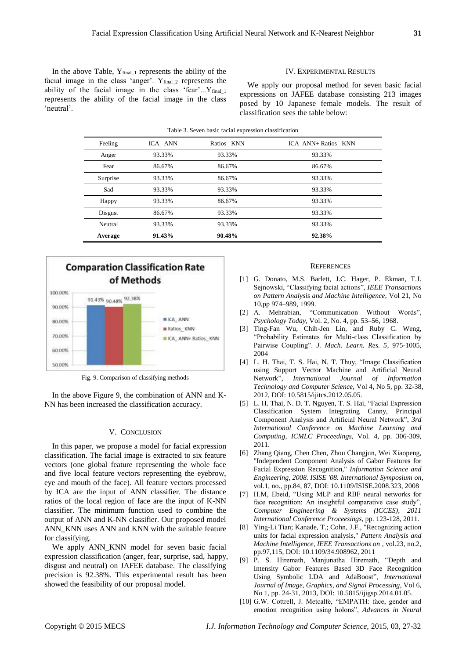In the above Table,  $Y_{final\_1}$  represents the ability of the facial image in the class 'anger'.  $Y_{final_2}$  represents the ability of the facial image in the class 'fear'... $Y_{final}$ represents the ability of the facial image in the class 'neutral'.

#### IV. EXPERIMENTAL RESULTS

We apply our proposal method for seven basic facial expressions on JAFEE database consisting 213 images posed by 10 Japanese female models. The result of classification sees the table below:

| Table 3. Seven basic facial expression classification |         |            |                     |
|-------------------------------------------------------|---------|------------|---------------------|
| Feeling                                               | ICA ANN | Ratios KNN | ICA ANN+ Ratios KNN |
| Anger                                                 | 93.33%  | 93.33%     | 93.33%              |
| Fear                                                  | 86.67%  | 86.67%     | 86.67%              |
| Surprise                                              | 93.33%  | 86.67%     | 93.33%              |
| Sad                                                   | 93.33%  | 93.33%     | 93.33%              |
| Happy                                                 | 93.33%  | 86.67%     | 93.33%              |
| Disgust                                               | 86.67%  | 93.33%     | 93.33%              |
| Neutral                                               | 93.33%  | 93.33%     | 93.33%              |
| Average                                               | 91.43%  | 90.48%     | 92.38%              |
|                                                       |         |            |                     |



Fig. 9. Comparison of classifying methods

In the above Figure 9, the combination of ANN and K-NN has been increased the classification accuracy.

#### V. CONCLUSION

In this paper, we propose a model for facial expression classification. The facial image is extracted to six feature vectors (one global feature representing the whole face and five local feature vectors representing the eyebrow, eye and mouth of the face). All feature vectors processed by ICA are the input of ANN classifier. The distance ratios of the local region of face are the input of K-NN classifier. The minimum function used to combine the output of ANN and K-NN classifier. Our proposed model ANN\_KNN uses ANN and KNN with the suitable feature for classifying.

We apply ANN\_KNN model for seven basic facial expression classification (anger, fear, surprise, sad, happy, disgust and neutral) on JAFEE database. The classifying precision is 92.38%. This experimental result has been showed the feasibility of our proposal model.

#### **REFERENCES**

- [1] G. Donato, M.S. Barlett, J.C. Hager, P. Ekman, T.J. Sejnowski, "Classifying facial actions", *IEEE Transactions on Pattern Analysis and Machine Intelligence*, Vol 21, No 10,pp 974–989, 1999.
- [2] A. Mehrabian, "Communication Without Words", *Psychology Today*, Vol. 2, No. 4, pp. 53–56, 1968.
- [3] Ting-Fan Wu, Chih-Jen Lin, and Ruby C. Weng, "Probability Estimates for Multi-class Classification by Pairwise Coupling". *J. Mach. Learn. Res. 5*, 975-1005, 2004
- [4] L. H. Thai, T. S. Hai, N. T. Thuy, "Image Classification using Support Vector Machine and Artificial Neural Network", *International Journal of Information Technology and Computer Science,* Vol 4, No 5, pp. 32-38, 2012, DOI: 10.5815/ijitcs.2012.05.05.
- [5] L. H. Thai, N. D. T. Nguyen, T. S. Hai, "Facial Expression Classification System Integrating Canny, Principal Component Analysis and Artificial Neural Network", *3rd International Conference on Machine Learning and Computing*, *ICMLC Proceedings*, Vol. 4, pp. 306-309, 2011.
- [6] Zhang Qiang, Chen Chen, Zhou Changjun, Wei Xiaopeng, "Independent Component Analysis of Gabor Features for Facial Expression Recognition," *Information Science and Engineering, 2008. ISISE '08. International Symposium on*, vol.1, no., pp.84, 87, DOI: 10.1109/ISISE.2008.323, 2008
- [7] H.M, Ebeid, "Using MLP and RBF neural networks for face recognition: An insightful comparative case study", *Computer Engineering & Systems (ICCES), 2011 International Conference Proceesings,* pp. 123-128, 2011.
- [8] Ying-Li Tian; Kanade, T.; Cohn, J.F., "Recognizing action units for facial expression analysis," *Pattern Analysis and Machine Intelligence, IEEE Transactions on* , vol.23, no.2, pp.97,115, DOI: 10.1109/34.908962, 2011
- [9] P. S. Hiremath, Manjunatha Hiremath, "Depth and Intensity Gabor Features Based 3D Face Recognition Using Symbolic LDA and AdaBoost", *International Journal of Image, Graphics, and Signal Processing,* Vol 6, No 1, pp. 24-31, 2013, DOI: 10.5815/ijigsp.2014.01.05.
- [10] G.W. Cottrell, J. Metcalfe, "EMPATH: face, gender and emotion recognition using holons", *Advances in Neural*